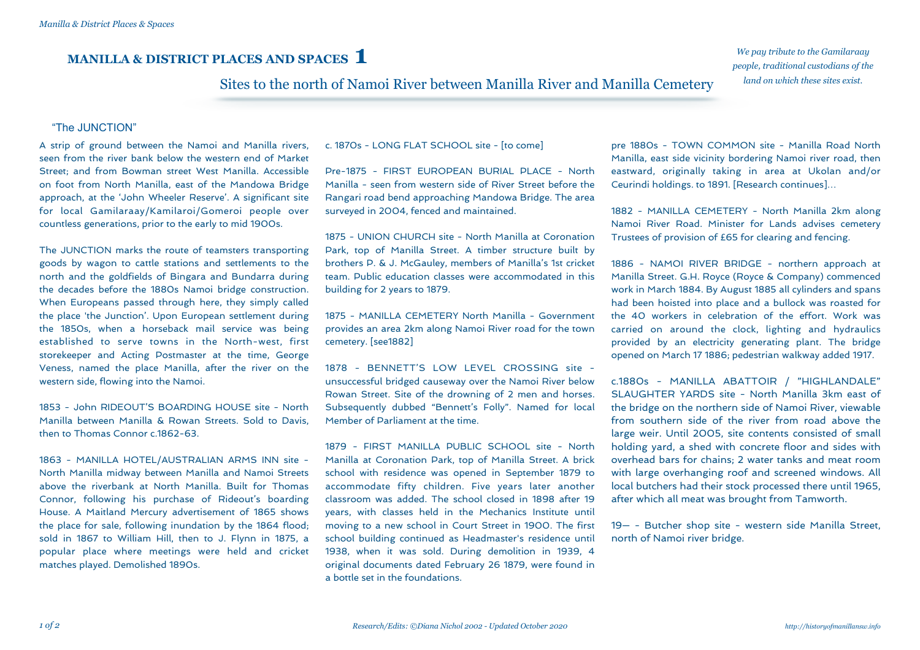# **MANILLA & DISTRICT PLACES AND SPACES 1**

*We pay tribute to the Gamilaraay people, traditional custodians of the land on which these sites exist.*

## Sites to the north of Namoi River between Manilla River and Manilla Cemetery

#### "The JUNCTION" .

A strip of ground between the Namoi and Manilla rivers, seen from the river bank below the western end of Market Street; and from Bowman street West Manilla. Accessible on foot from North Manilla, east of the Mandowa Bridge approach, at the 'John Wheeler Reserve'. A significant site for local Gamilaraay/Kamilaroi/Gomeroi people over countless generations, prior to the early to mid 1900s.

The JUNCTION marks the route of teamsters transporting goods by wagon to cattle stations and settlements to the north and the goldfields of Bingara and Bundarra during the decades before the 1880s Namoi bridge construction. When Europeans passed through here, they simply called the place 'the Junction'. Upon European settlement during the 1850s, when a horseback mail service was being established to serve towns in the North-west, first storekeeper and Acting Postmaster at the time, George Veness, named the place Manilla, after the river on the western side, flowing into the Namoi.

1853 - John RIDEOUT'S BOARDING HOUSE site - North Manilla between Manilla & Rowan Streets. Sold to Davis, then to Thomas Connor c.1862-63.

1863 - MANILLA HOTEL/AUSTRALIAN ARMS INN site - North Manilla midway between Manilla and Namoi Streets above the riverbank at North Manilla. Built for Thomas Connor, following his purchase of Rideout's boarding House. A Maitland Mercury advertisement of 1865 shows the place for sale, following inundation by the 1864 flood; sold in 1867 to William Hill, then to J. Flynn in 1875, a popular place where meetings were held and cricket matches played. Demolished 1890s.

c. 1870s - LONG FLAT SCHOOL site - [to come]

Pre-1875 - FIRST EUROPEAN BURIAL PLACE - North Manilla - seen from western side of River Street before the Rangari road bend approaching Mandowa Bridge. The area surveyed in 2004, fenced and maintained.

1875 - UNION CHURCH site - North Manilla at Coronation Park, top of Manilla Street. A timber structure built by brothers P. & J. McGauley, members of Manilla's 1st cricket team. Public education classes were accommodated in this building for 2 years to 1879.

1875 - MANILLA CEMETERY North Manilla - Government provides an area 2km along Namoi River road for the town cemetery. [see1882]

1878 - BENNETT'S LOW LEVEL CROSSING site unsuccessful bridged causeway over the Namoi River below Rowan Street. Site of the drowning of 2 men and horses. Subsequently dubbed "Bennett's Folly". Named for local Member of Parliament at the time.

1879 - FIRST MANILLA PUBLIC SCHOOL site - North Manilla at Coronation Park, top of Manilla Street. A brick school with residence was opened in September 1879 to accommodate fifty children. Five years later another classroom was added. The school closed in 1898 after 19 years, with classes held in the Mechanics Institute until moving to a new school in Court Street in 1900. The first school building continued as Headmaster's residence until 1938, when it was sold. During demolition in 1939, 4 original documents dated February 26 1879, were found in a bottle set in the foundations.

pre 1880s - TOWN COMMON site - Manilla Road North Manilla, east side vicinity bordering Namoi river road, then eastward, originally taking in area at Ukolan and/or Ceurindi holdings. to 1891. [Research continues]…

1882 - MANILLA CEMETERY - North Manilla 2km along Namoi River Road. Minister for Lands advises cemetery Trustees of provision of £65 for clearing and fencing.

1886 - NAMOI RIVER BRIDGE - northern approach at Manilla Street. G.H. Royce (Royce & Company) commenced work in March 1884. By August 1885 all cylinders and spans had been hoisted into place and a bullock was roasted for the 40 workers in celebration of the effort. Work was carried on around the clock, lighting and hydraulics provided by an electricity generating plant. The bridge opened on March 17 1886; pedestrian walkway added 1917.

c.1880s - MANILLA ABATTOIR / "HIGHLANDALE" SLAUGHTER YARDS site - North Manilla 3km east of the bridge on the northern side of Namoi River, viewable from southern side of the river from road above the large weir. Until 2005, site contents consisted of small holding yard, a shed with concrete floor and sides with overhead bars for chains; 2 water tanks and meat room with large overhanging roof and screened windows. All local butchers had their stock processed there until 1965, after which all meat was brought from Tamworth.

19— - Butcher shop site - western side Manilla Street, north of Namoi river bridge.